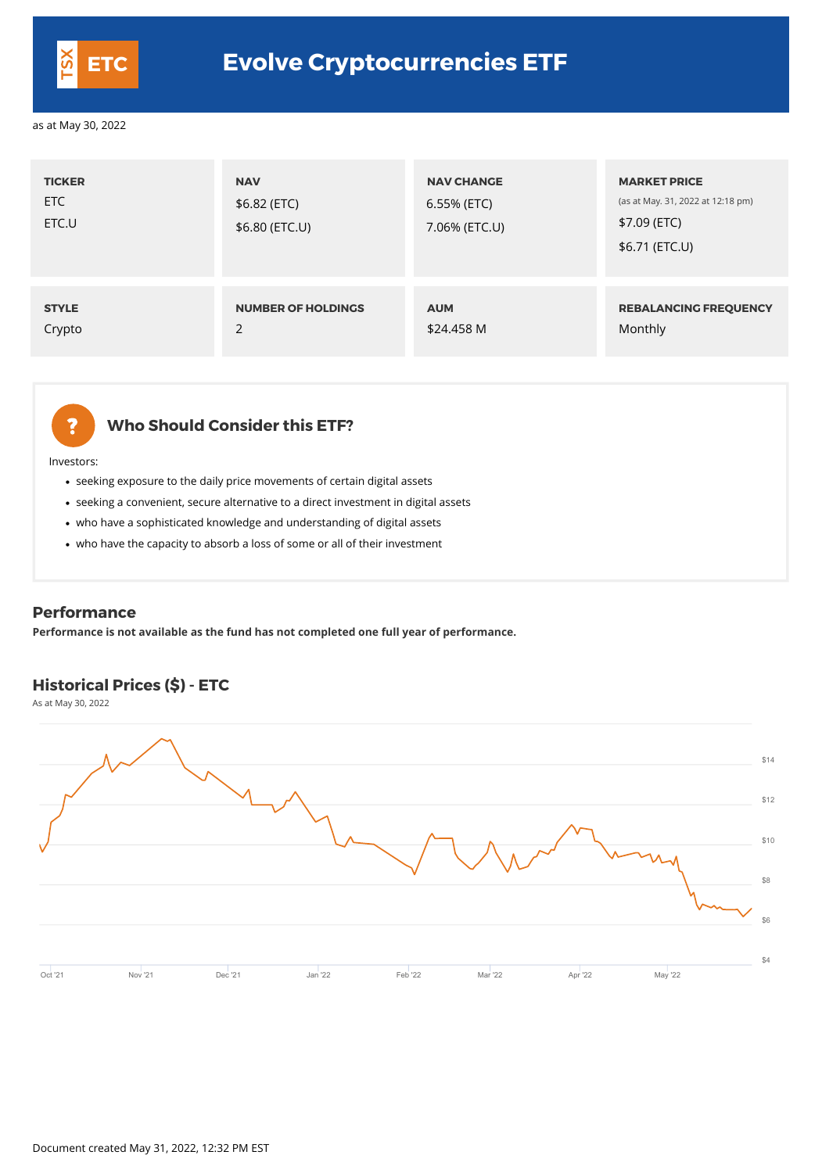- seeking exposure to the daily price movements of certain digital assets
- seeking a convenient, secure alternative to a direct investment in digital assets
- who have a sophisticated knowledge and understanding of digital assets
- who have the capacity to absorb a loss of some or all of their investment

# **Who Should Consider this ETF?**

Investors:

| <b>TICKER</b><br>ETC<br>ETC.U | <b>NAV</b><br>\$6.82 (ETC)<br>\$6.80 (ETC.U) | <b>NAV CHANGE</b><br>6.55% (ETC)<br>7.06% (ETC.U) | <b>MARKET PRICE</b><br>(as at May. 31, 2022 at 12:18 pm)<br>\$7.09 (ETC)<br>\$6.71 (ETC.U) |
|-------------------------------|----------------------------------------------|---------------------------------------------------|--------------------------------------------------------------------------------------------|
| <b>STYLE</b>                  | <b>NUMBER OF HOLDINGS</b>                    | <b>AUM</b>                                        | <b>REBALANCING FREQUENCY</b>                                                               |
| Crypto                        | 2                                            | \$24.458 M                                        | Monthly                                                                                    |



#### **Performance**

**Performance is not available as the fund has not completed one full year of performance.**

# **Historical Prices (\$) - ETC**

As at May 30, 2022



\$14



# **ETC Evolve Cryptocurrencies ETF**

as at May 30, 2022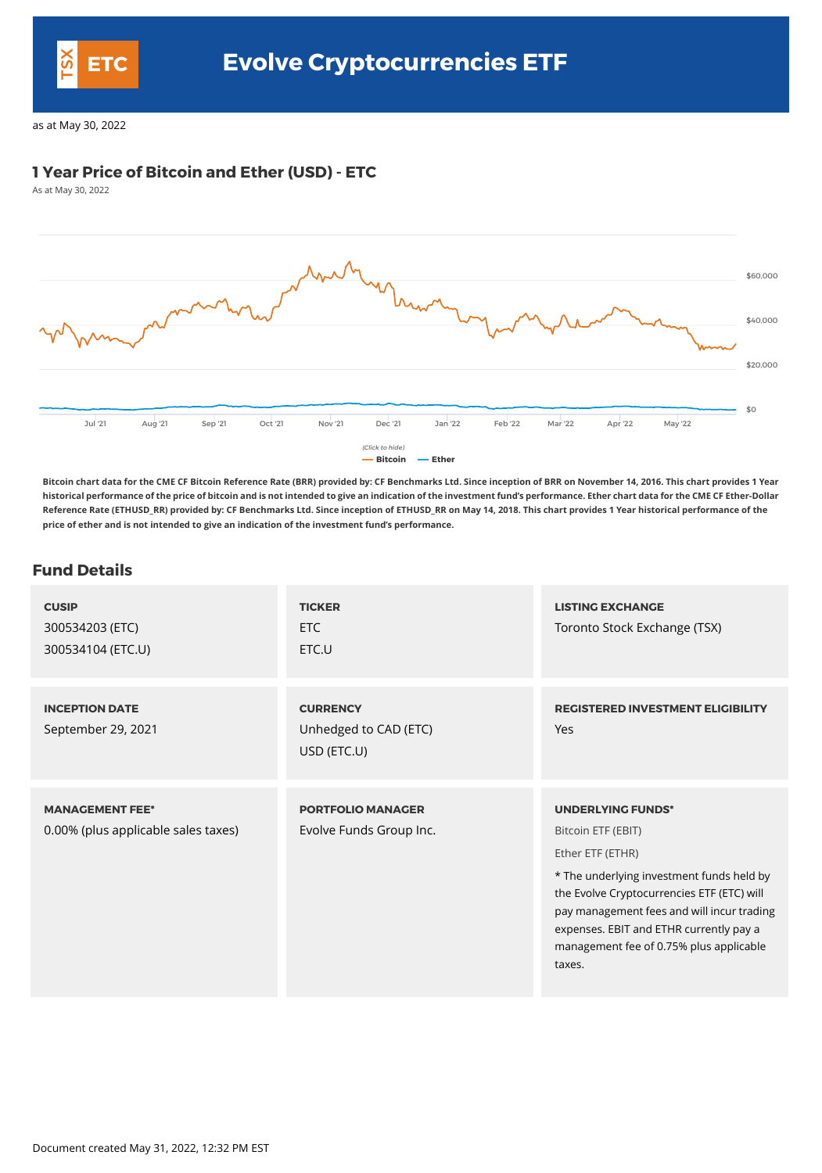### **1 Year Price of Bitcoin and Ether (USD) - ETC**

As at May 30, 2022



**Bitcoin chart data for the CME CF Bitcoin Reference Rate (BRR) provided by: CF Benchmarks Ltd. Since inception of BRR on November 14, 2016. This chart provides 1 Year historical performance of the price of bitcoin and is not intended to give an indication of the investment fund's performance. Ether chart data for the CME CF Ether-Dollar Reference Rate (ETHUSD\_RR) provided by: CF Benchmarks Ltd. Since inception of ETHUSD\_RR on May 14, 2018. This chart provides 1 Year historical performance of the price of ether and is not intended to give an indication of the investment fund's performance.**

#### **Fund Details**

| <b>CUSIP</b><br>300534203 (ETC)<br>300534104 (ETC.U)          | <b>TICKER</b><br>ETC<br>ETC.U                           | <b>LISTING EXCHANGE</b><br>Toronto Stock Exchange (TSX)                                                                                                                                                                                                                                                     |
|---------------------------------------------------------------|---------------------------------------------------------|-------------------------------------------------------------------------------------------------------------------------------------------------------------------------------------------------------------------------------------------------------------------------------------------------------------|
| <b>INCEPTION DATE</b><br>September 29, 2021                   | <b>CURRENCY</b><br>Unhedged to CAD (ETC)<br>USD (ETC.U) | <b>REGISTERED INVESTMENT ELIGIBILITY</b><br><b>Yes</b>                                                                                                                                                                                                                                                      |
| <b>MANAGEMENT FEE*</b><br>0.00% (plus applicable sales taxes) | <b>PORTFOLIO MANAGER</b><br>Evolve Funds Group Inc.     | <b>UNDERLYING FUNDS*</b><br>Bitcoin ETF (EBIT)<br>Ether ETF (ETHR)<br>* The underlying investment funds held by<br>the Evolve Cryptocurrencies ETF (ETC) will<br>pay management fees and will incur trading<br>expenses. EBIT and ETHR currently pay a<br>management fee of 0.75% plus applicable<br>taxes. |



as at May 30, 2022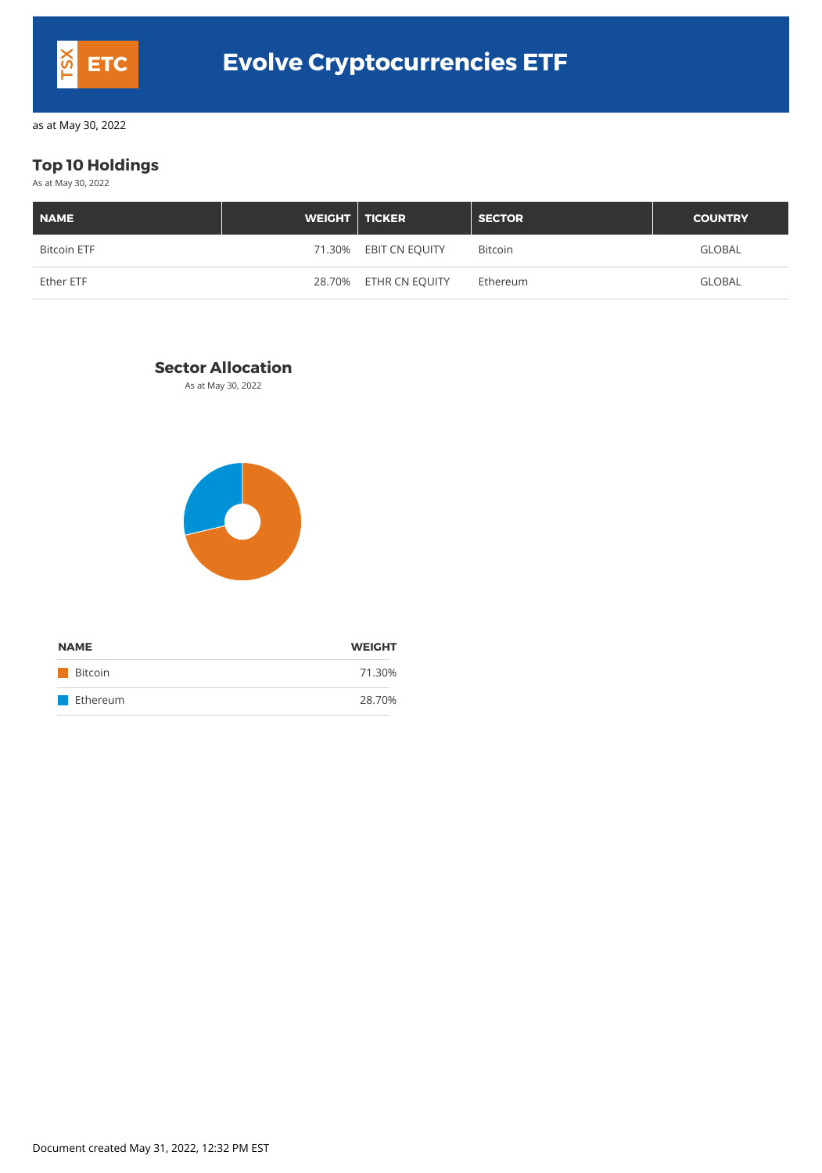# **Top 10 Holdings**

As at May 30, 2022

| <b>NAME</b>        | <b>WEIGHT</b> TICKER |                       | <b>SECTOR</b>  | <b>COUNTRY</b> |
|--------------------|----------------------|-----------------------|----------------|----------------|
| <b>Bitcoin ETF</b> |                      | 71.30% EBIT CN EQUITY | <b>Bitcoin</b> | <b>GLOBAL</b>  |
| Ether ETF          |                      | 28.70% ETHR CN EQUITY | Ethereum       | <b>GLOBAL</b>  |

### **Sector Allocation**

As at May 30, 2022



| <b>NAME</b>    | <b>WEIGHT</b> |  |
|----------------|---------------|--|
| <b>Bitcoin</b> | 71.30%        |  |
| Ethereum       | 28.70%        |  |

Document created May 31, 2022, 12:32 PM EST



as at May 30, 2022